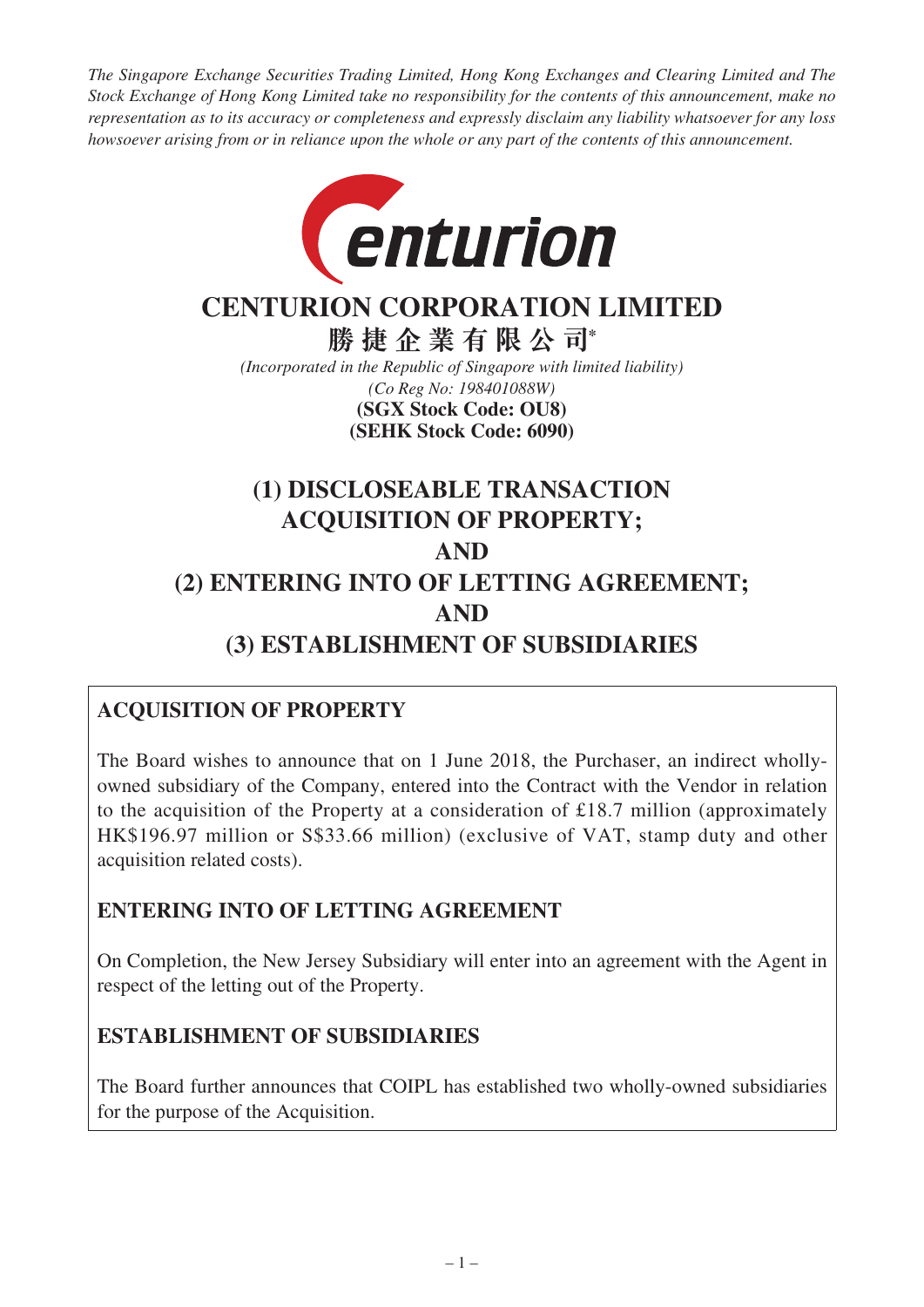*The Singapore Exchange Securities Trading Limited, Hong Kong Exchanges and Clearing Limited and The Stock Exchange of Hong Kong Limited take no responsibility for the contents of this announcement, make no representation as to its accuracy or completeness and expressly disclaim any liability whatsoever for any loss howsoever arising from or in reliance upon the whole or any part of the contents of this announcement.*



# **CENTURION CORPORATION LIMITED**

**勝捷企業有限公司\*** *(Incorporated in the Republic of Singapore with limited liability)*

*(Co Reg No: 198401088W)* **(SEHK Stock Code: 6090) (SGX Stock Code: OU8)**

# **(1) DISCLOSEABLE TRANSACTION ACQUISITION OF PROPERTY; AND (2) ENTERING INTO OF LETTING AGREEMENT; AND (3) ESTABLISHMENT OF SUBSIDIARIES**

# **ACQUISITION OF PROPERTY**

The Board wishes to announce that on 1 June 2018, the Purchaser, an indirect whollyowned subsidiary of the Company, entered into the Contract with the Vendor in relation to the acquisition of the Property at a consideration of £18.7 million (approximately HK\$196.97 million or S\$33.66 million) (exclusive of VAT, stamp duty and other acquisition related costs).

# **ENTERING INTO OF LETTING AGREEMENT**

On Completion, the New Jersey Subsidiary will enter into an agreement with the Agent in respect of the letting out of the Property.

### **ESTABLISHMENT OF SUBSIDIARIES**

The Board further announces that COIPL has established two wholly-owned subsidiaries for the purpose of the Acquisition.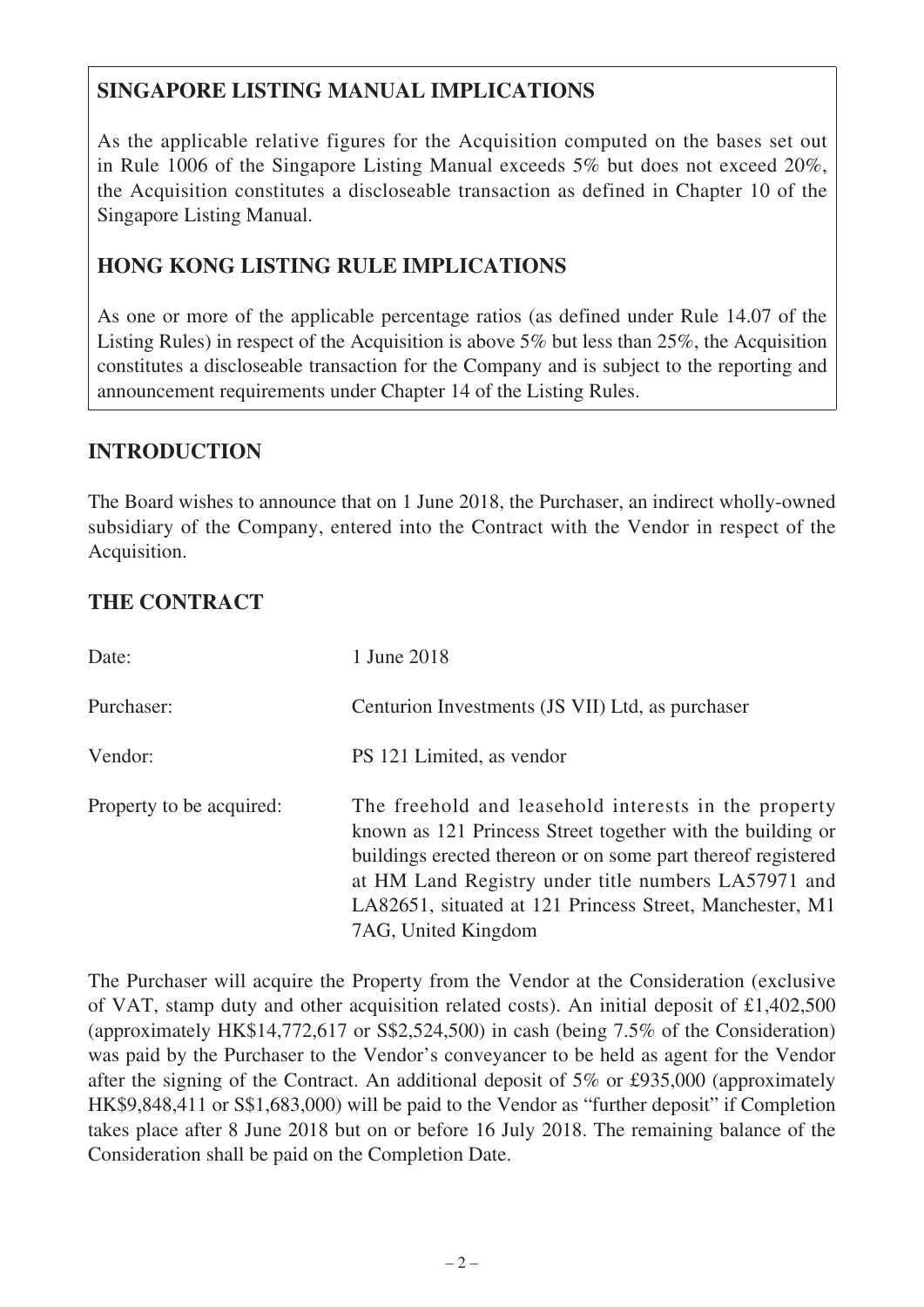# **SINGAPORE LISTING MANUAL IMPLICATIONS**

As the applicable relative figures for the Acquisition computed on the bases set out in Rule 1006 of the Singapore Listing Manual exceeds 5% but does not exceed 20%, the Acquisition constitutes a discloseable transaction as defined in Chapter 10 of the Singapore Listing Manual.

# **HONG KONG LISTING RULE IMPLICATIONS**

As one or more of the applicable percentage ratios (as defined under Rule 14.07 of the Listing Rules) in respect of the Acquisition is above 5% but less than 25%, the Acquisition constitutes a discloseable transaction for the Company and is subject to the reporting and announcement requirements under Chapter 14 of the Listing Rules.

#### **INTRODUCTION**

The Board wishes to announce that on 1 June 2018, the Purchaser, an indirect wholly-owned subsidiary of the Company, entered into the Contract with the Vendor in respect of the Acquisition.

### **THE CONTRACT**

| Date:                    | 1 June 2018                                                                                                                                                                                                                                                                                                                  |
|--------------------------|------------------------------------------------------------------------------------------------------------------------------------------------------------------------------------------------------------------------------------------------------------------------------------------------------------------------------|
| Purchaser:               | Centurion Investments (JS VII) Ltd, as purchaser                                                                                                                                                                                                                                                                             |
| Vendor:                  | PS 121 Limited, as vendor                                                                                                                                                                                                                                                                                                    |
| Property to be acquired: | The freehold and leasehold interests in the property<br>known as 121 Princess Street together with the building or<br>buildings erected thereon or on some part thereof registered<br>at HM Land Registry under title numbers LA57971 and<br>LA82651, situated at 121 Princess Street, Manchester, M1<br>7AG, United Kingdom |

The Purchaser will acquire the Property from the Vendor at the Consideration (exclusive of VAT, stamp duty and other acquisition related costs). An initial deposit of £1,402,500 (approximately HK\$14,772,617 or S\$2,524,500) in cash (being 7.5% of the Consideration) was paid by the Purchaser to the Vendor's conveyancer to be held as agent for the Vendor after the signing of the Contract. An additional deposit of 5% or £935,000 (approximately HK\$9,848,411 or S\$1,683,000) will be paid to the Vendor as "further deposit" if Completion takes place after 8 June 2018 but on or before 16 July 2018. The remaining balance of the Consideration shall be paid on the Completion Date.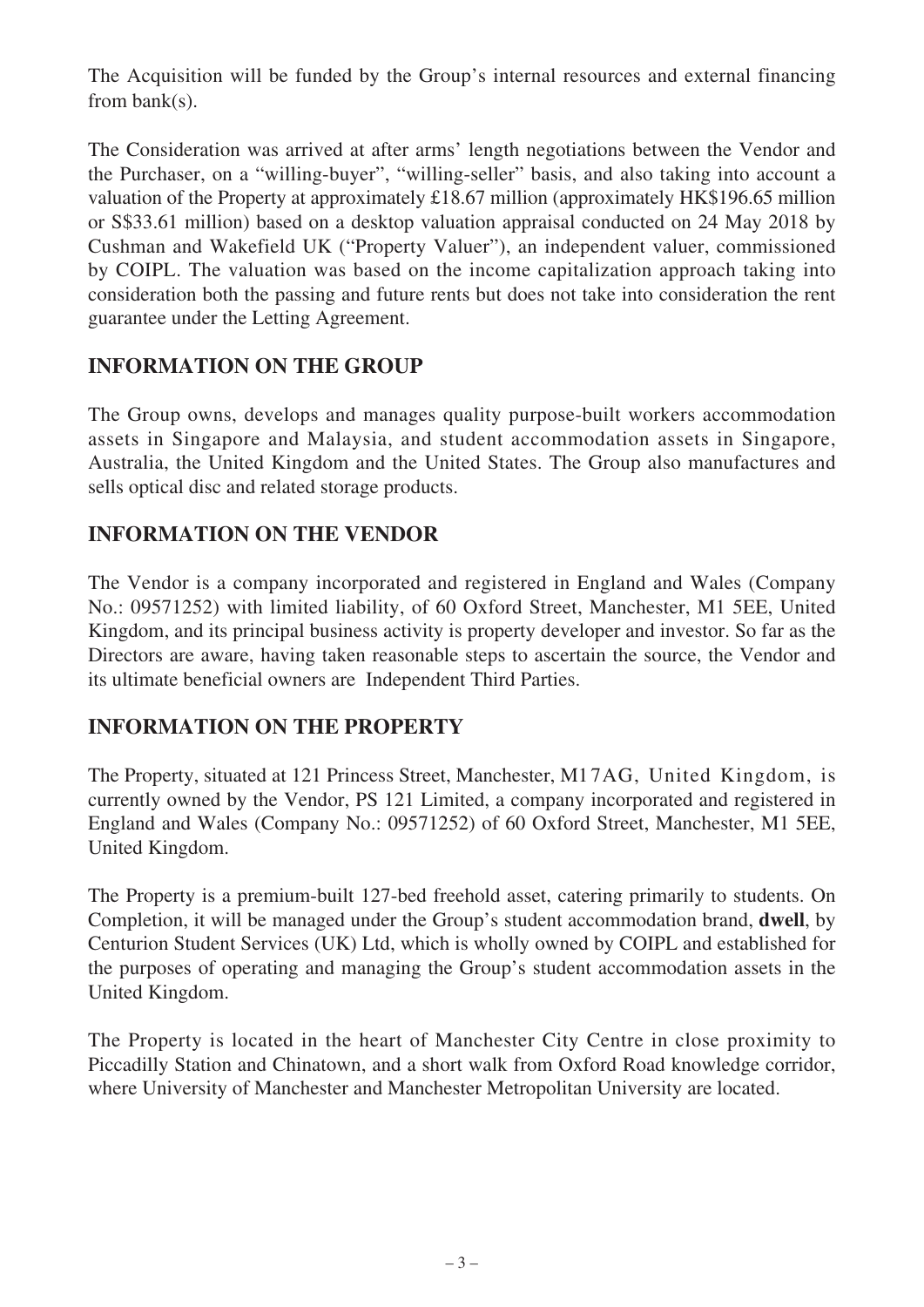The Acquisition will be funded by the Group's internal resources and external financing from bank(s).

The Consideration was arrived at after arms' length negotiations between the Vendor and the Purchaser, on a "willing-buyer", "willing-seller" basis, and also taking into account a valuation of the Property at approximately £18.67 million (approximately HK\$196.65 million or S\$33.61 million) based on a desktop valuation appraisal conducted on 24 May 2018 by Cushman and Wakefield UK ("Property Valuer"), an independent valuer, commissioned by COIPL. The valuation was based on the income capitalization approach taking into consideration both the passing and future rents but does not take into consideration the rent guarantee under the Letting Agreement.

#### **INFORMATION ON THE GROUP**

The Group owns, develops and manages quality purpose-built workers accommodation assets in Singapore and Malaysia, and student accommodation assets in Singapore, Australia, the United Kingdom and the United States. The Group also manufactures and sells optical disc and related storage products.

### **INFORMATION ON THE VENDOR**

The Vendor is a company incorporated and registered in England and Wales (Company No.: 09571252) with limited liability, of 60 Oxford Street, Manchester, M1 5EE, United Kingdom, and its principal business activity is property developer and investor. So far as the Directors are aware, having taken reasonable steps to ascertain the source, the Vendor and its ultimate beneficial owners are Independent Third Parties.

#### **INFORMATION ON THE PROPERTY**

The Property, situated at 121 Princess Street, Manchester, M1 7AG, United Kingdom, is currently owned by the Vendor, PS 121 Limited, a company incorporated and registered in England and Wales (Company No.: 09571252) of 60 Oxford Street, Manchester, M1 5EE, United Kingdom.

The Property is a premium-built 127-bed freehold asset, catering primarily to students. On Completion, it will be managed under the Group's student accommodation brand, **dwell**, by Centurion Student Services (UK) Ltd, which is wholly owned by COIPL and established for the purposes of operating and managing the Group's student accommodation assets in the United Kingdom.

The Property is located in the heart of Manchester City Centre in close proximity to Piccadilly Station and Chinatown, and a short walk from Oxford Road knowledge corridor, where University of Manchester and Manchester Metropolitan University are located.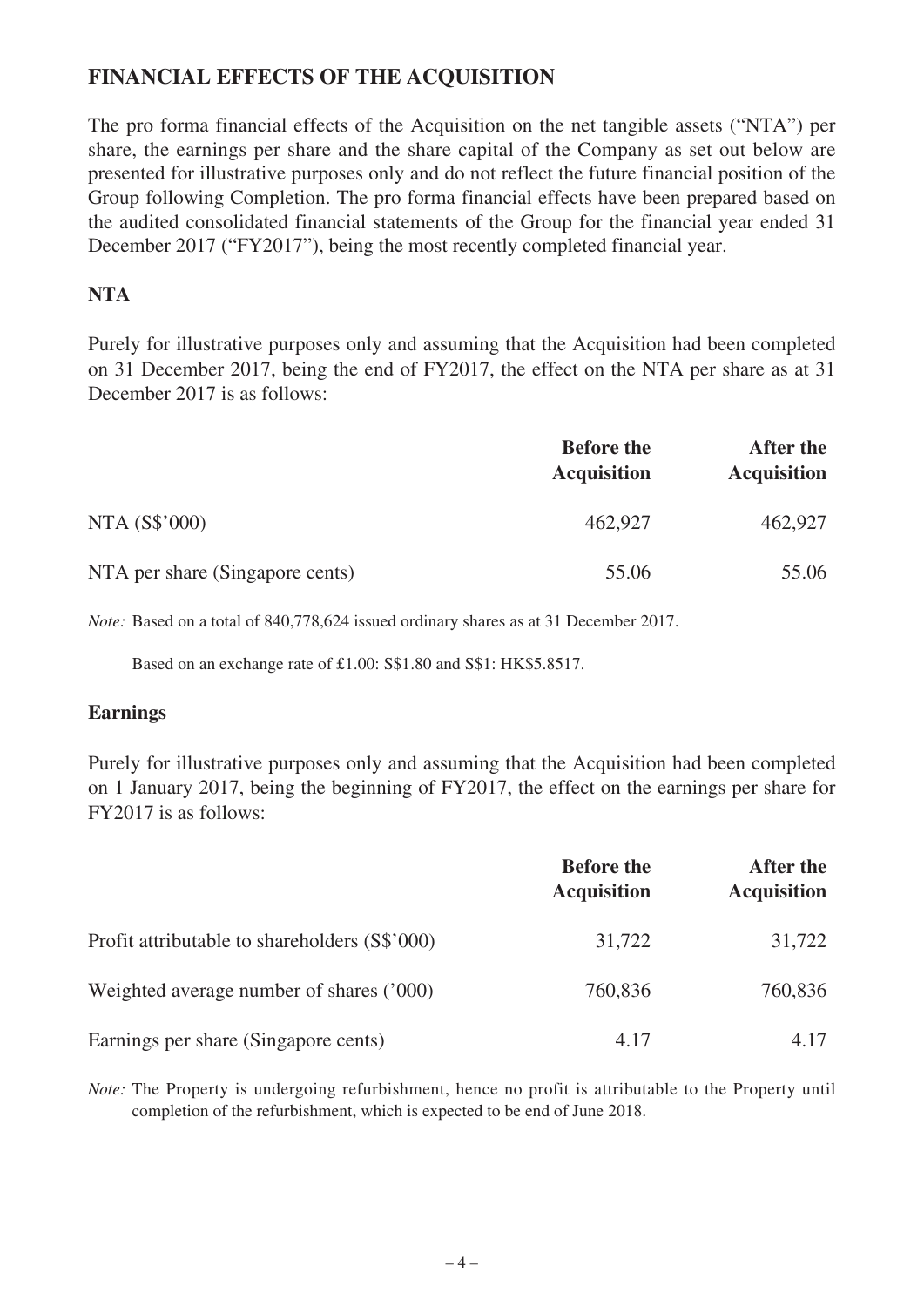### **FINANCIAL EFFECTS OF THE ACQUISITION**

The pro forma financial effects of the Acquisition on the net tangible assets ("NTA") per share, the earnings per share and the share capital of the Company as set out below are presented for illustrative purposes only and do not reflect the future financial position of the Group following Completion. The pro forma financial effects have been prepared based on the audited consolidated financial statements of the Group for the financial year ended 31 December 2017 ("FY2017"), being the most recently completed financial year.

#### **NTA**

Purely for illustrative purposes only and assuming that the Acquisition had been completed on 31 December 2017, being the end of FY2017, the effect on the NTA per share as at 31 December 2017 is as follows:

|                                 | <b>Before the</b><br><b>Acquisition</b> | After the<br><b>Acquisition</b> |
|---------------------------------|-----------------------------------------|---------------------------------|
| NTA (S\$'000)                   | 462,927                                 | 462,927                         |
| NTA per share (Singapore cents) | 55.06                                   | 55.06                           |

*Note:* Based on a total of 840,778,624 issued ordinary shares as at 31 December 2017.

Based on an exchange rate of £1.00: S\$1.80 and S\$1: HK\$5.8517.

#### **Earnings**

Purely for illustrative purposes only and assuming that the Acquisition had been completed on 1 January 2017, being the beginning of FY2017, the effect on the earnings per share for FY2017 is as follows:

|                                               | <b>Before the</b><br><b>Acquisition</b> | After the<br><b>Acquisition</b> |
|-----------------------------------------------|-----------------------------------------|---------------------------------|
| Profit attributable to shareholders (S\$'000) | 31,722                                  | 31,722                          |
| Weighted average number of shares ('000)      | 760,836                                 | 760,836                         |
| Earnings per share (Singapore cents)          | 4.17                                    | 4.17                            |

*Note:* The Property is undergoing refurbishment, hence no profit is attributable to the Property until completion of the refurbishment, which is expected to be end of June 2018.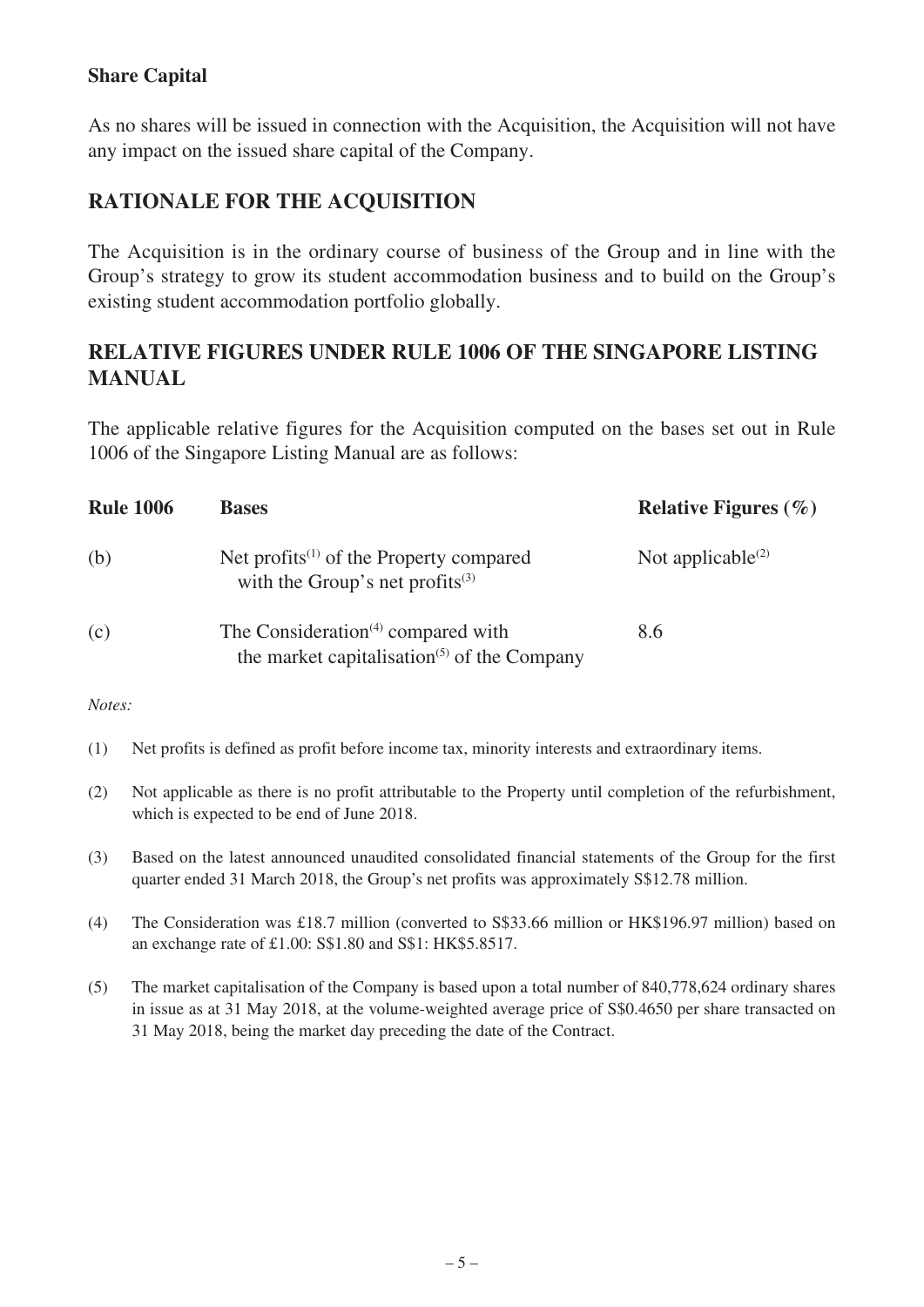#### **Share Capital**

As no shares will be issued in connection with the Acquisition, the Acquisition will not have any impact on the issued share capital of the Company.

#### **RATIONALE FOR THE ACQUISITION**

The Acquisition is in the ordinary course of business of the Group and in line with the Group's strategy to grow its student accommodation business and to build on the Group's existing student accommodation portfolio globally.

#### **RELATIVE FIGURES UNDER RULE 1006 OF THE SINGAPORE LISTING MANUAL**

The applicable relative figures for the Acquisition computed on the bases set out in Rule 1006 of the Singapore Listing Manual are as follows:

| <b>Rule 1006</b> | <b>Bases</b>                                                                                                                        | <b>Relative Figures</b> $(\% )$ |
|------------------|-------------------------------------------------------------------------------------------------------------------------------------|---------------------------------|
| (b)              | Net profits <sup><math>(1)</math></sup> of the Property compared<br>with the Group's net profits $(3)$                              | Not applicable <sup>(2)</sup>   |
| (c)              | The Consideration <sup><math>(4)</math></sup> compared with<br>the market capitalisation <sup><math>(5)</math></sup> of the Company | 8.6                             |

#### *Notes:*

- (1) Net profits is defined as profit before income tax, minority interests and extraordinary items.
- (2) Not applicable as there is no profit attributable to the Property until completion of the refurbishment, which is expected to be end of June 2018.
- (3) Based on the latest announced unaudited consolidated financial statements of the Group for the first quarter ended 31 March 2018, the Group's net profits was approximately S\$12.78 million.
- (4) The Consideration was £18.7 million (converted to S\$33.66 million or HK\$196.97 million) based on an exchange rate of £1.00: S\$1.80 and S\$1: HK\$5.8517.
- (5) The market capitalisation of the Company is based upon a total number of 840,778,624 ordinary shares in issue as at 31 May 2018, at the volume-weighted average price of S\$0.4650 per share transacted on 31 May 2018, being the market day preceding the date of the Contract.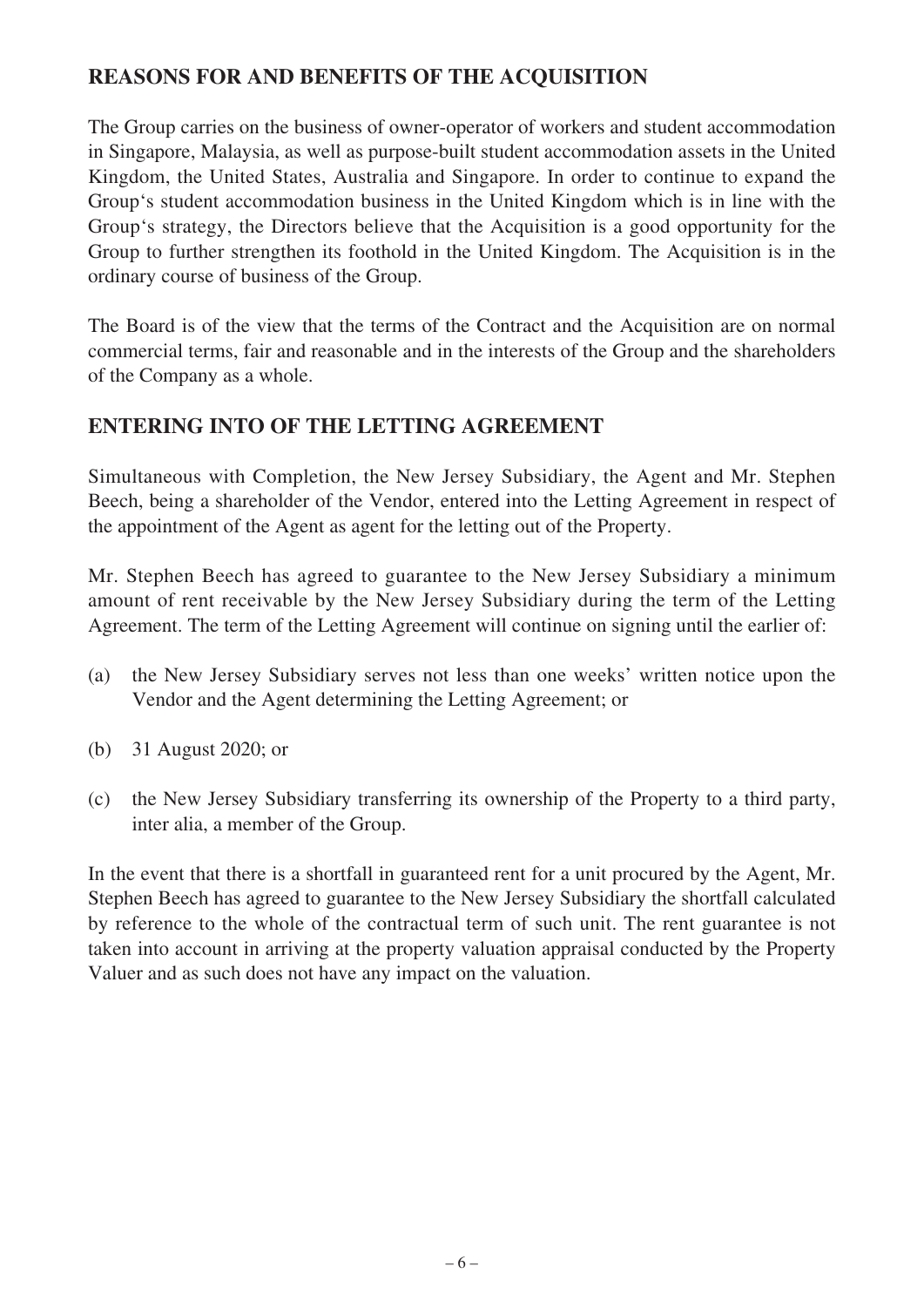# **REASONS FOR AND BENEFITS OF THE ACQUISITION**

The Group carries on the business of owner-operator of workers and student accommodation in Singapore, Malaysia, as well as purpose-built student accommodation assets in the United Kingdom, the United States, Australia and Singapore. In order to continue to expand the Group's student accommodation business in the United Kingdom which is in line with the Group's strategy, the Directors believe that the Acquisition is a good opportunity for the Group to further strengthen its foothold in the United Kingdom. The Acquisition is in the ordinary course of business of the Group.

The Board is of the view that the terms of the Contract and the Acquisition are on normal commercial terms, fair and reasonable and in the interests of the Group and the shareholders of the Company as a whole.

# **ENTERING INTO OF THE LETTING AGREEMENT**

Simultaneous with Completion, the New Jersey Subsidiary, the Agent and Mr. Stephen Beech, being a shareholder of the Vendor, entered into the Letting Agreement in respect of the appointment of the Agent as agent for the letting out of the Property.

Mr. Stephen Beech has agreed to guarantee to the New Jersey Subsidiary a minimum amount of rent receivable by the New Jersey Subsidiary during the term of the Letting Agreement. The term of the Letting Agreement will continue on signing until the earlier of:

- (a) the New Jersey Subsidiary serves not less than one weeks' written notice upon the Vendor and the Agent determining the Letting Agreement; or
- (b) 31 August 2020; or
- (c) the New Jersey Subsidiary transferring its ownership of the Property to a third party, inter alia, a member of the Group.

In the event that there is a shortfall in guaranteed rent for a unit procured by the Agent, Mr. Stephen Beech has agreed to guarantee to the New Jersey Subsidiary the shortfall calculated by reference to the whole of the contractual term of such unit. The rent guarantee is not taken into account in arriving at the property valuation appraisal conducted by the Property Valuer and as such does not have any impact on the valuation.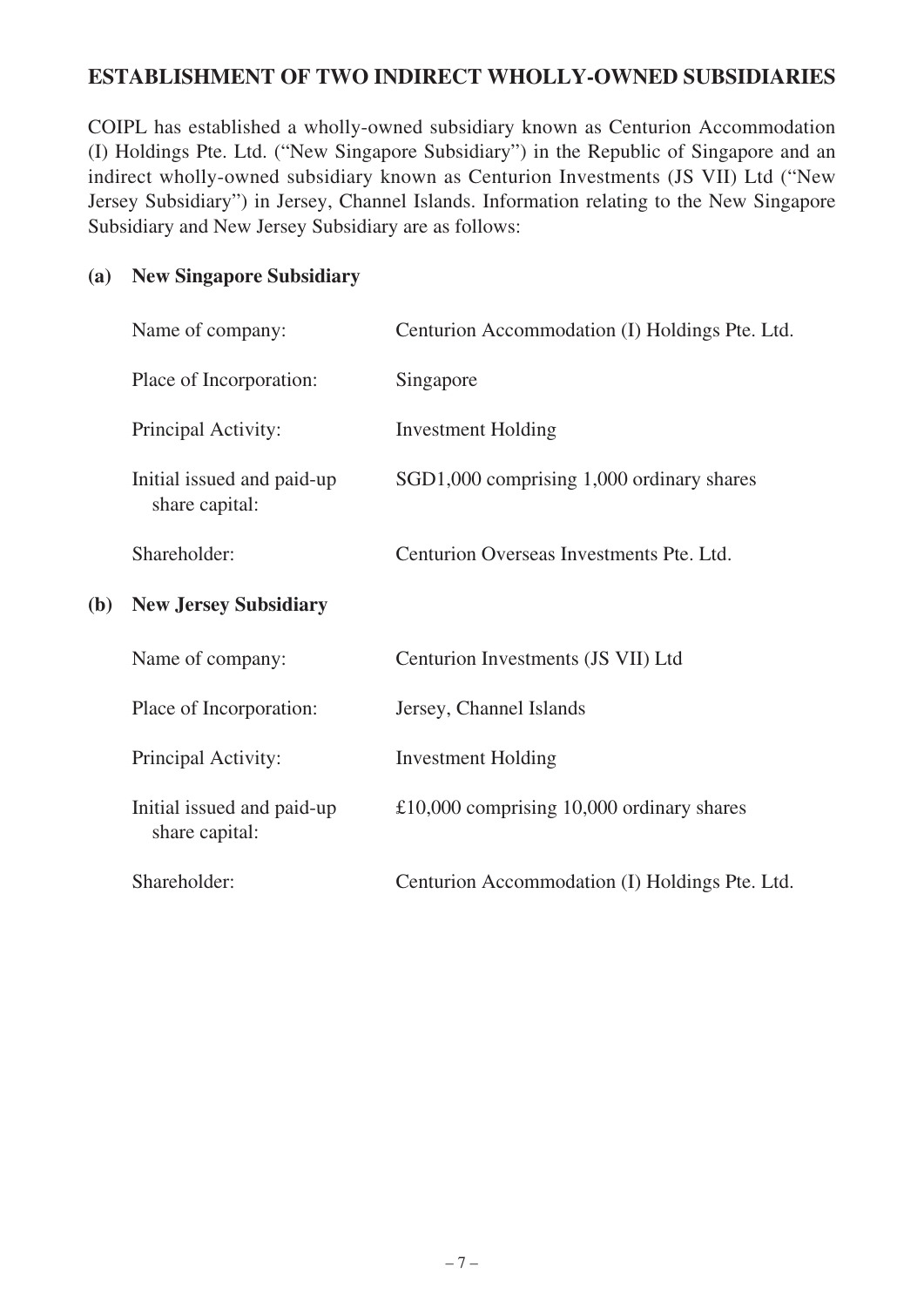### **ESTABLISHMENT OF TWO INDIRECT WHOLLY-OWNED SUBSIDIARIES**

COIPL has established a wholly-owned subsidiary known as Centurion Accommodation (I) Holdings Pte. Ltd. ("New Singapore Subsidiary") in the Republic of Singapore and an indirect wholly-owned subsidiary known as Centurion Investments (JS VII) Ltd ("New Jersey Subsidiary") in Jersey, Channel Islands. Information relating to the New Singapore Subsidiary and New Jersey Subsidiary are as follows:

#### **(a) New Singapore Subsidiary**

|     | Name of company:                             | Centurion Accommodation (I) Holdings Pte. Ltd. |
|-----|----------------------------------------------|------------------------------------------------|
|     | Place of Incorporation:                      | Singapore                                      |
|     | Principal Activity:                          | <b>Investment Holding</b>                      |
|     | Initial issued and paid-up<br>share capital: | SGD1,000 comprising 1,000 ordinary shares      |
|     | Shareholder:                                 | Centurion Overseas Investments Pte. Ltd.       |
| (b) | <b>New Jersey Subsidiary</b>                 |                                                |
|     | Name of company:                             | Centurion Investments (JS VII) Ltd             |
|     | Place of Incorporation:                      | Jersey, Channel Islands                        |
|     | Principal Activity:                          | <b>Investment Holding</b>                      |
|     | Initial issued and paid-up<br>share capital: | £10,000 comprising $10,000$ ordinary shares    |
|     | Shareholder:                                 | Centurion Accommodation (I) Holdings Pte. Ltd. |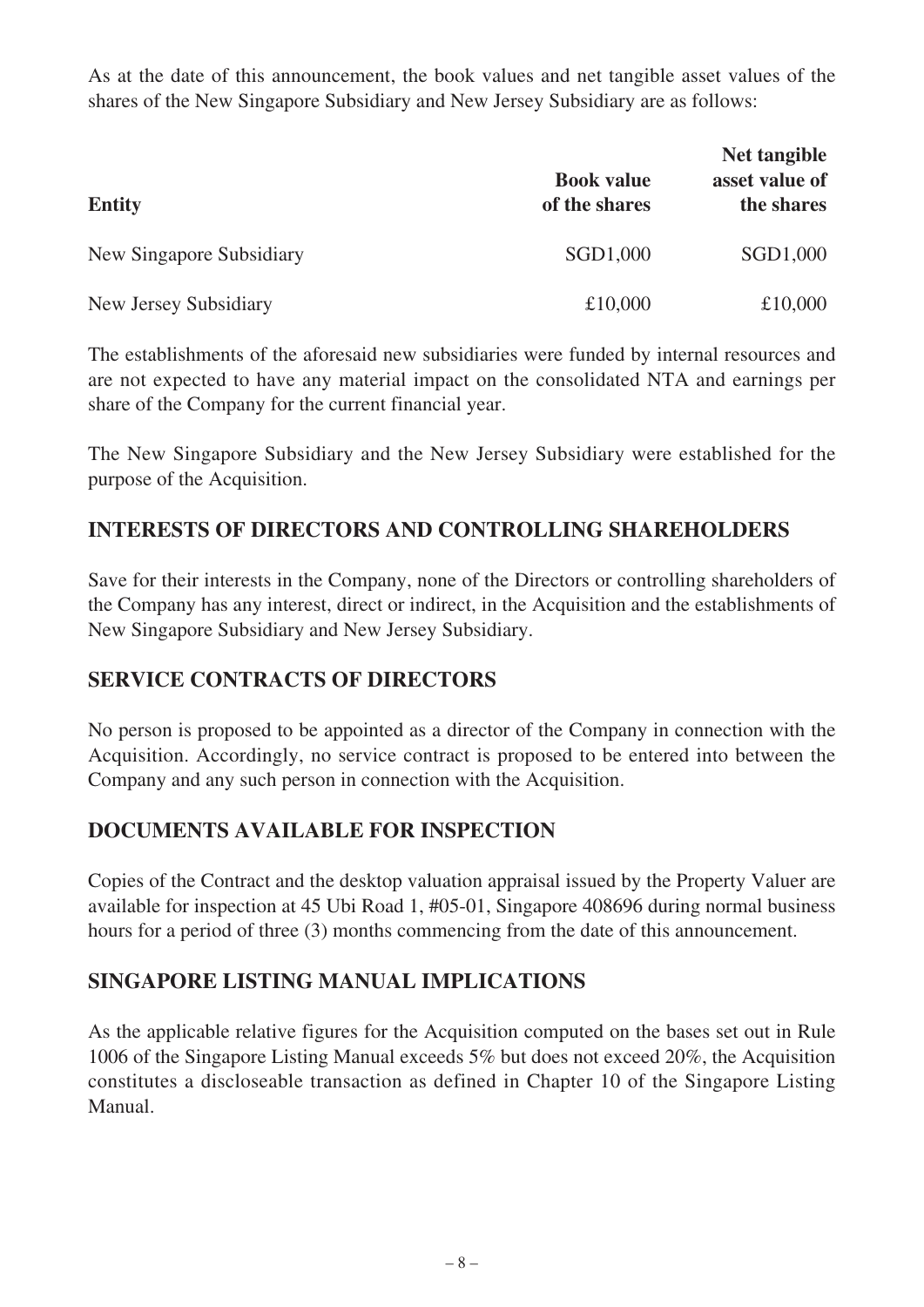As at the date of this announcement, the book values and net tangible asset values of the shares of the New Singapore Subsidiary and New Jersey Subsidiary are as follows:

| <b>Entity</b>            | <b>Book value</b><br>of the shares | Net tangible<br>asset value of<br>the shares |
|--------------------------|------------------------------------|----------------------------------------------|
| New Singapore Subsidiary | SGD1,000                           | SGD1,000                                     |
| New Jersey Subsidiary    | £10,000                            | £10,000                                      |

The establishments of the aforesaid new subsidiaries were funded by internal resources and are not expected to have any material impact on the consolidated NTA and earnings per share of the Company for the current financial year.

The New Singapore Subsidiary and the New Jersey Subsidiary were established for the purpose of the Acquisition.

#### **INTERESTS OF DIRECTORS AND CONTROLLING SHAREHOLDERS**

Save for their interests in the Company, none of the Directors or controlling shareholders of the Company has any interest, direct or indirect, in the Acquisition and the establishments of New Singapore Subsidiary and New Jersey Subsidiary.

#### **SERVICE CONTRACTS OF DIRECTORS**

No person is proposed to be appointed as a director of the Company in connection with the Acquisition. Accordingly, no service contract is proposed to be entered into between the Company and any such person in connection with the Acquisition.

### **DOCUMENTS AVAILABLE FOR INSPECTION**

Copies of the Contract and the desktop valuation appraisal issued by the Property Valuer are available for inspection at 45 Ubi Road 1, #05-01, Singapore 408696 during normal business hours for a period of three (3) months commencing from the date of this announcement.

### **SINGAPORE LISTING MANUAL IMPLICATIONS**

As the applicable relative figures for the Acquisition computed on the bases set out in Rule 1006 of the Singapore Listing Manual exceeds 5% but does not exceed 20%, the Acquisition constitutes a discloseable transaction as defined in Chapter 10 of the Singapore Listing Manual.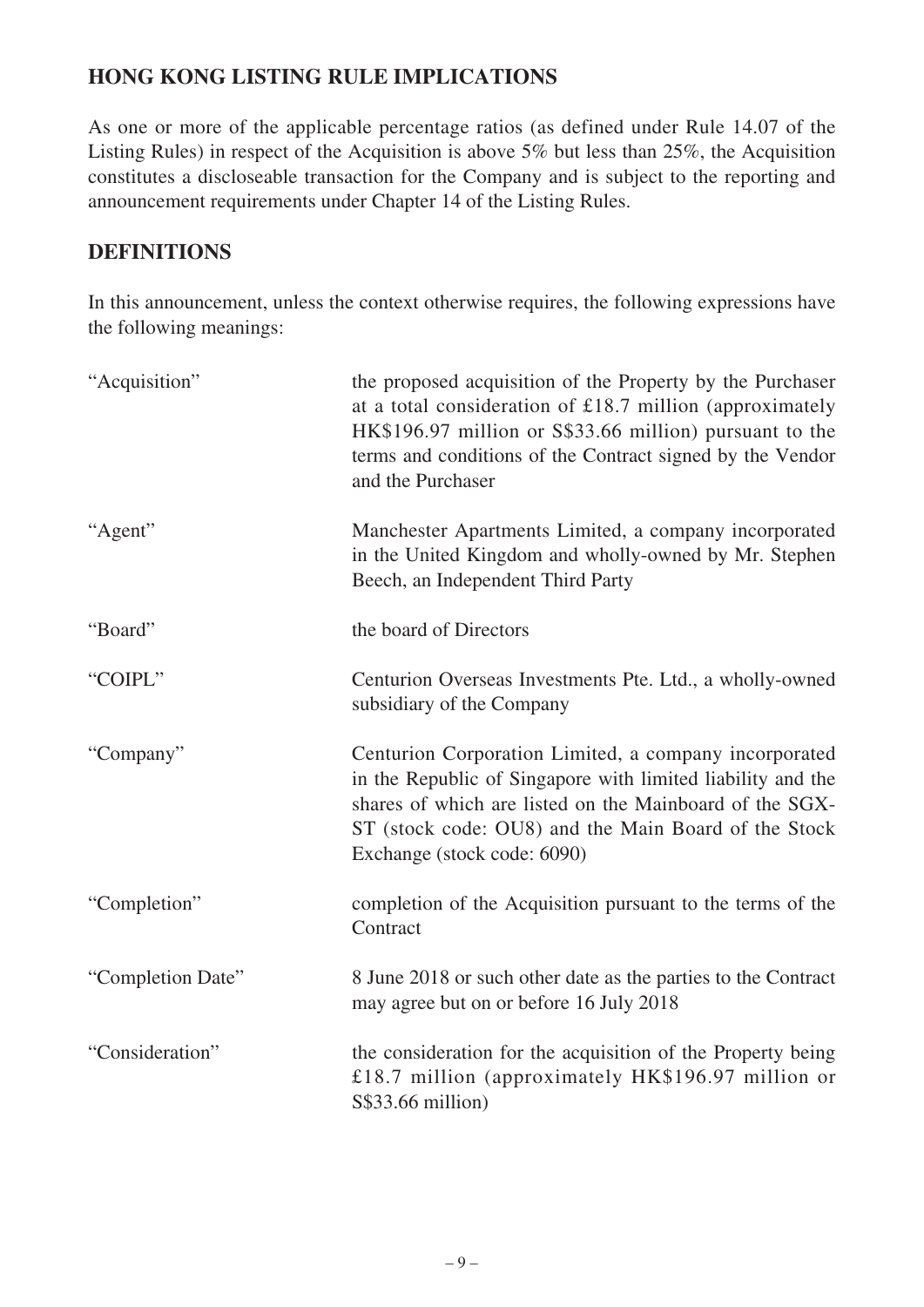# **HONG KONG LISTING RULE IMPLICATIONS**

As one or more of the applicable percentage ratios (as defined under Rule 14.07 of the Listing Rules) in respect of the Acquisition is above 5% but less than 25%, the Acquisition constitutes a discloseable transaction for the Company and is subject to the reporting and announcement requirements under Chapter 14 of the Listing Rules.

#### **DEFINITIONS**

In this announcement, unless the context otherwise requires, the following expressions have the following meanings:

| "Acquisition"     | the proposed acquisition of the Property by the Purchaser<br>at a total consideration of £18.7 million (approximately<br>HK\$196.97 million or S\$33.66 million) pursuant to the<br>terms and conditions of the Contract signed by the Vendor<br>and the Purchaser     |
|-------------------|------------------------------------------------------------------------------------------------------------------------------------------------------------------------------------------------------------------------------------------------------------------------|
| "Agent"           | Manchester Apartments Limited, a company incorporated<br>in the United Kingdom and wholly-owned by Mr. Stephen<br>Beech, an Independent Third Party                                                                                                                    |
| "Board"           | the board of Directors                                                                                                                                                                                                                                                 |
| "COIPL"           | Centurion Overseas Investments Pte. Ltd., a wholly-owned<br>subsidiary of the Company                                                                                                                                                                                  |
| "Company"         | Centurion Corporation Limited, a company incorporated<br>in the Republic of Singapore with limited liability and the<br>shares of which are listed on the Mainboard of the SGX-<br>ST (stock code: OU8) and the Main Board of the Stock<br>Exchange (stock code: 6090) |
| "Completion"      | completion of the Acquisition pursuant to the terms of the<br>Contract                                                                                                                                                                                                 |
| "Completion Date" | 8 June 2018 or such other date as the parties to the Contract<br>may agree but on or before 16 July 2018                                                                                                                                                               |
| "Consideration"   | the consideration for the acquisition of the Property being<br>£18.7 million (approximately HK\$196.97 million or<br>S\$33.66 million)                                                                                                                                 |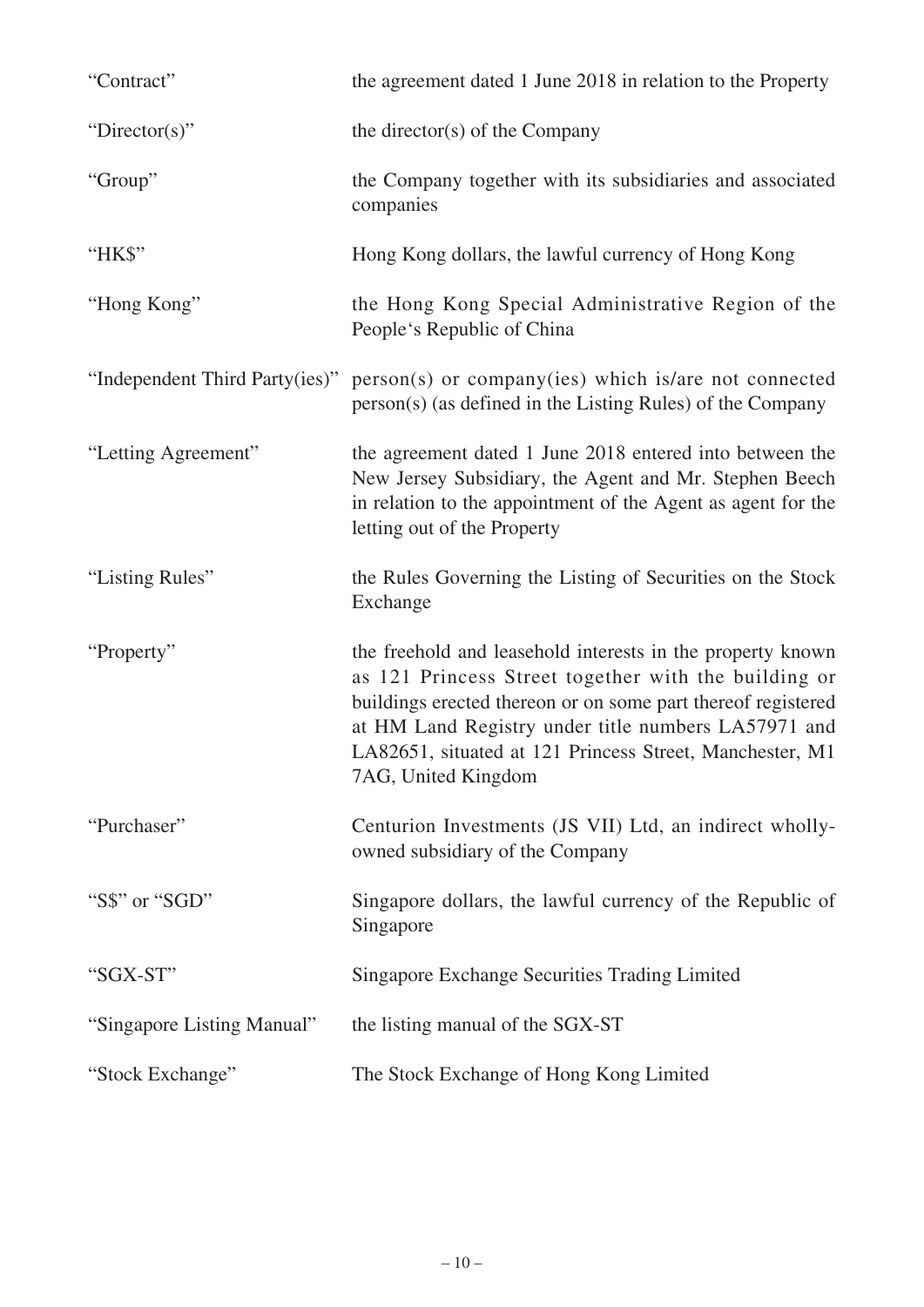| "Contract"                     | the agreement dated 1 June 2018 in relation to the Property                                                                                                                                                                                                                                                                  |
|--------------------------------|------------------------------------------------------------------------------------------------------------------------------------------------------------------------------------------------------------------------------------------------------------------------------------------------------------------------------|
| "Director(s)"                  | the director(s) of the Company                                                                                                                                                                                                                                                                                               |
| "Group"                        | the Company together with its subsidiaries and associated<br>companies                                                                                                                                                                                                                                                       |
| "HK\$"                         | Hong Kong dollars, the lawful currency of Hong Kong                                                                                                                                                                                                                                                                          |
| "Hong Kong"                    | the Hong Kong Special Administrative Region of the<br>People's Republic of China                                                                                                                                                                                                                                             |
| "Independent Third Party(ies)" | person(s) or company(ies) which is/are not connected<br>person(s) (as defined in the Listing Rules) of the Company                                                                                                                                                                                                           |
| "Letting Agreement"            | the agreement dated 1 June 2018 entered into between the<br>New Jersey Subsidiary, the Agent and Mr. Stephen Beech<br>in relation to the appointment of the Agent as agent for the<br>letting out of the Property                                                                                                            |
| "Listing Rules"                | the Rules Governing the Listing of Securities on the Stock<br>Exchange                                                                                                                                                                                                                                                       |
| "Property"                     | the freehold and leasehold interests in the property known<br>as 121 Princess Street together with the building or<br>buildings erected thereon or on some part thereof registered<br>at HM Land Registry under title numbers LA57971 and<br>LA82651, situated at 121 Princess Street, Manchester, M1<br>7AG, United Kingdom |
| "Purchaser"                    | Centurion Investments (JS VII) Ltd, an indirect wholly-<br>owned subsidiary of the Company                                                                                                                                                                                                                                   |
| "S\$" or "SGD"                 | Singapore dollars, the lawful currency of the Republic of<br>Singapore                                                                                                                                                                                                                                                       |
| "SGX-ST"                       | <b>Singapore Exchange Securities Trading Limited</b>                                                                                                                                                                                                                                                                         |
| "Singapore Listing Manual"     | the listing manual of the SGX-ST                                                                                                                                                                                                                                                                                             |
| "Stock Exchange"               | The Stock Exchange of Hong Kong Limited                                                                                                                                                                                                                                                                                      |